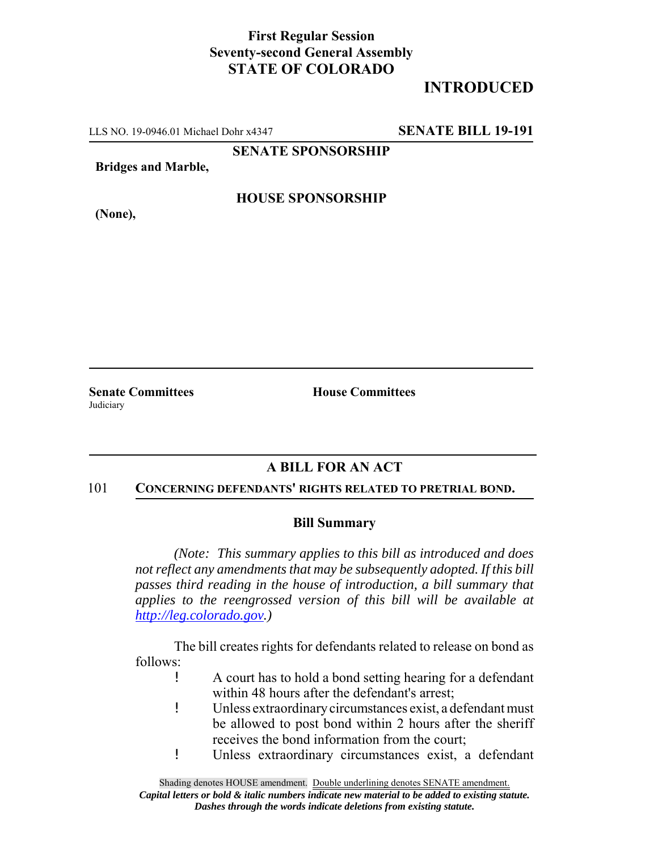### **First Regular Session Seventy-second General Assembly STATE OF COLORADO**

# **INTRODUCED**

LLS NO. 19-0946.01 Michael Dohr x4347 **SENATE BILL 19-191**

**SENATE SPONSORSHIP**

**Bridges and Marble,**

**(None),**

#### **HOUSE SPONSORSHIP**

**Judiciary** 

**Senate Committees House Committees** 

## **A BILL FOR AN ACT**

#### 101 **CONCERNING DEFENDANTS' RIGHTS RELATED TO PRETRIAL BOND.**

#### **Bill Summary**

*(Note: This summary applies to this bill as introduced and does not reflect any amendments that may be subsequently adopted. If this bill passes third reading in the house of introduction, a bill summary that applies to the reengrossed version of this bill will be available at http://leg.colorado.gov.)*

The bill creates rights for defendants related to release on bond as follows:

- ! A court has to hold a bond setting hearing for a defendant within 48 hours after the defendant's arrest;
- ! Unless extraordinary circumstances exist, a defendant must be allowed to post bond within 2 hours after the sheriff receives the bond information from the court;
- ! Unless extraordinary circumstances exist, a defendant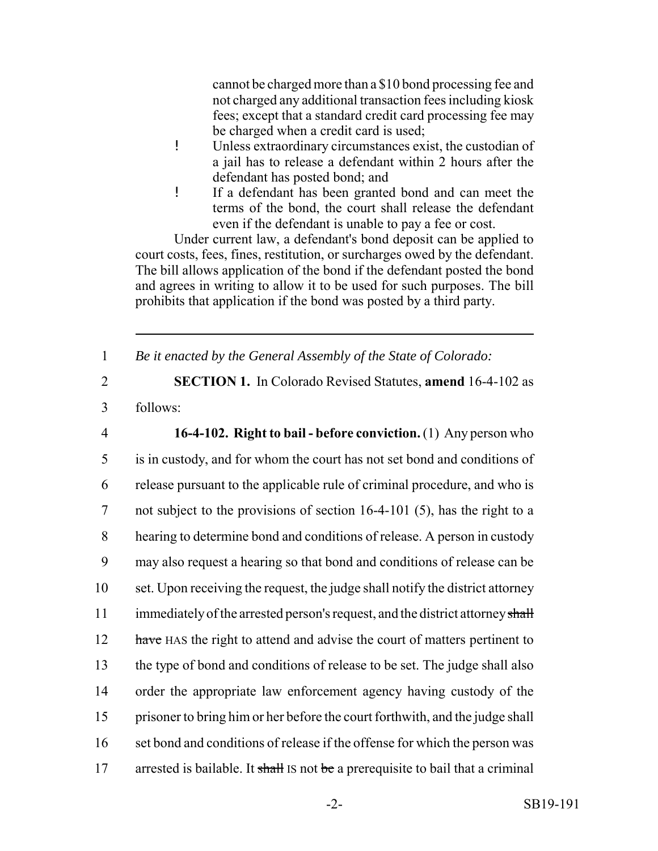cannot be charged more than a \$10 bond processing fee and not charged any additional transaction fees including kiosk fees; except that a standard credit card processing fee may be charged when a credit card is used;

- ! Unless extraordinary circumstances exist, the custodian of a jail has to release a defendant within 2 hours after the defendant has posted bond; and
- ! If a defendant has been granted bond and can meet the terms of the bond, the court shall release the defendant even if the defendant is unable to pay a fee or cost.

Under current law, a defendant's bond deposit can be applied to court costs, fees, fines, restitution, or surcharges owed by the defendant. The bill allows application of the bond if the defendant posted the bond and agrees in writing to allow it to be used for such purposes. The bill prohibits that application if the bond was posted by a third party.

1 *Be it enacted by the General Assembly of the State of Colorado:*

2 **SECTION 1.** In Colorado Revised Statutes, **amend** 16-4-102 as

3 follows:

 **16-4-102. Right to bail - before conviction.** (1) Any person who is in custody, and for whom the court has not set bond and conditions of release pursuant to the applicable rule of criminal procedure, and who is not subject to the provisions of section 16-4-101 (5), has the right to a hearing to determine bond and conditions of release. A person in custody may also request a hearing so that bond and conditions of release can be set. Upon receiving the request, the judge shall notify the district attorney 11 immediately of the arrested person's request, and the district attorney shall 12 have HAS the right to attend and advise the court of matters pertinent to the type of bond and conditions of release to be set. The judge shall also order the appropriate law enforcement agency having custody of the prisoner to bring him or her before the court forthwith, and the judge shall 16 set bond and conditions of release if the offense for which the person was 17 arrested is bailable. It shall IS not be a prerequisite to bail that a criminal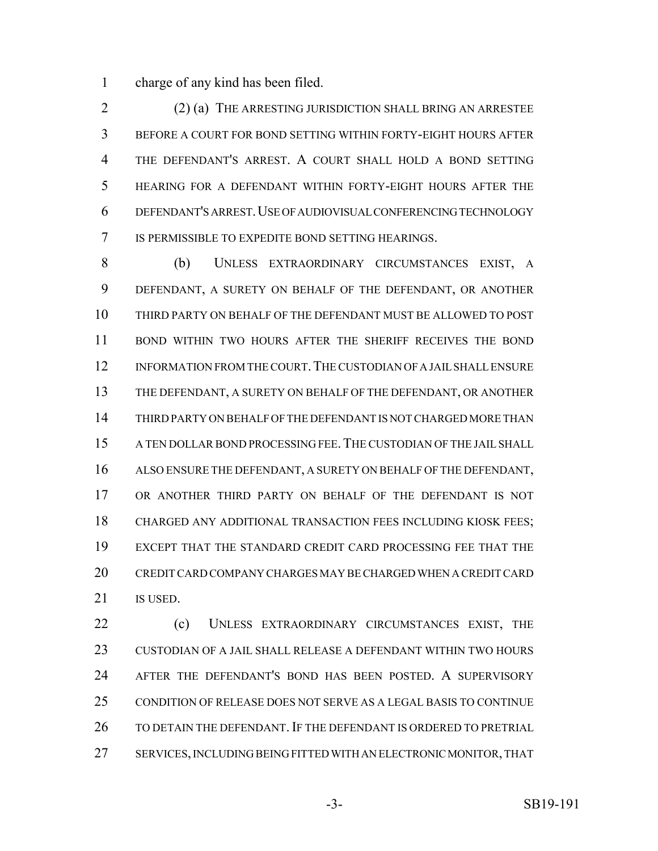charge of any kind has been filed.

 (2) (a) THE ARRESTING JURISDICTION SHALL BRING AN ARRESTEE BEFORE A COURT FOR BOND SETTING WITHIN FORTY-EIGHT HOURS AFTER THE DEFENDANT'S ARREST. A COURT SHALL HOLD A BOND SETTING HEARING FOR A DEFENDANT WITHIN FORTY-EIGHT HOURS AFTER THE DEFENDANT'S ARREST.USE OF AUDIOVISUAL CONFERENCING TECHNOLOGY IS PERMISSIBLE TO EXPEDITE BOND SETTING HEARINGS.

 (b) UNLESS EXTRAORDINARY CIRCUMSTANCES EXIST, A DEFENDANT, A SURETY ON BEHALF OF THE DEFENDANT, OR ANOTHER THIRD PARTY ON BEHALF OF THE DEFENDANT MUST BE ALLOWED TO POST BOND WITHIN TWO HOURS AFTER THE SHERIFF RECEIVES THE BOND INFORMATION FROM THE COURT.THE CUSTODIAN OF A JAIL SHALL ENSURE THE DEFENDANT, A SURETY ON BEHALF OF THE DEFENDANT, OR ANOTHER THIRD PARTY ON BEHALF OF THE DEFENDANT IS NOT CHARGED MORE THAN A TEN DOLLAR BOND PROCESSING FEE.THE CUSTODIAN OF THE JAIL SHALL ALSO ENSURE THE DEFENDANT, A SURETY ON BEHALF OF THE DEFENDANT, OR ANOTHER THIRD PARTY ON BEHALF OF THE DEFENDANT IS NOT CHARGED ANY ADDITIONAL TRANSACTION FEES INCLUDING KIOSK FEES; EXCEPT THAT THE STANDARD CREDIT CARD PROCESSING FEE THAT THE CREDIT CARD COMPANY CHARGES MAY BE CHARGED WHEN A CREDIT CARD 21 IS USED.

 (c) UNLESS EXTRAORDINARY CIRCUMSTANCES EXIST, THE CUSTODIAN OF A JAIL SHALL RELEASE A DEFENDANT WITHIN TWO HOURS AFTER THE DEFENDANT'S BOND HAS BEEN POSTED. A SUPERVISORY CONDITION OF RELEASE DOES NOT SERVE AS A LEGAL BASIS TO CONTINUE 26 TO DETAIN THE DEFENDANT. IF THE DEFENDANT IS ORDERED TO PRETRIAL SERVICES, INCLUDING BEING FITTED WITH AN ELECTRONIC MONITOR, THAT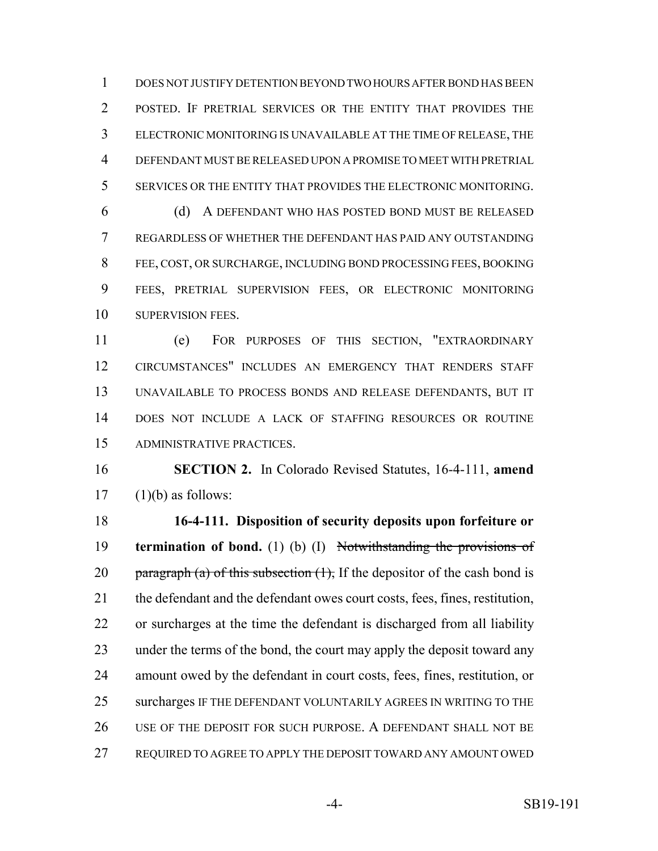DOES NOT JUSTIFY DETENTION BEYOND TWO HOURS AFTER BOND HAS BEEN POSTED. IF PRETRIAL SERVICES OR THE ENTITY THAT PROVIDES THE ELECTRONIC MONITORING IS UNAVAILABLE AT THE TIME OF RELEASE, THE DEFENDANT MUST BE RELEASED UPON A PROMISE TO MEET WITH PRETRIAL SERVICES OR THE ENTITY THAT PROVIDES THE ELECTRONIC MONITORING.

 (d) A DEFENDANT WHO HAS POSTED BOND MUST BE RELEASED REGARDLESS OF WHETHER THE DEFENDANT HAS PAID ANY OUTSTANDING FEE, COST, OR SURCHARGE, INCLUDING BOND PROCESSING FEES, BOOKING FEES, PRETRIAL SUPERVISION FEES, OR ELECTRONIC MONITORING 10 SUPERVISION FEES.

 (e) FOR PURPOSES OF THIS SECTION, "EXTRAORDINARY CIRCUMSTANCES" INCLUDES AN EMERGENCY THAT RENDERS STAFF UNAVAILABLE TO PROCESS BONDS AND RELEASE DEFENDANTS, BUT IT DOES NOT INCLUDE A LACK OF STAFFING RESOURCES OR ROUTINE ADMINISTRATIVE PRACTICES.

 **SECTION 2.** In Colorado Revised Statutes, 16-4-111, **amend** (1)(b) as follows:

 **16-4-111. Disposition of security deposits upon forfeiture or termination of bond.** (1) (b) (I) Notwithstanding the provisions of 20 paragraph (a) of this subsection  $(1)$ , If the depositor of the cash bond is the defendant and the defendant owes court costs, fees, fines, restitution, or surcharges at the time the defendant is discharged from all liability under the terms of the bond, the court may apply the deposit toward any amount owed by the defendant in court costs, fees, fines, restitution, or 25 surcharges IF THE DEFENDANT VOLUNTARILY AGREES IN WRITING TO THE USE OF THE DEPOSIT FOR SUCH PURPOSE. A DEFENDANT SHALL NOT BE REQUIRED TO AGREE TO APPLY THE DEPOSIT TOWARD ANY AMOUNT OWED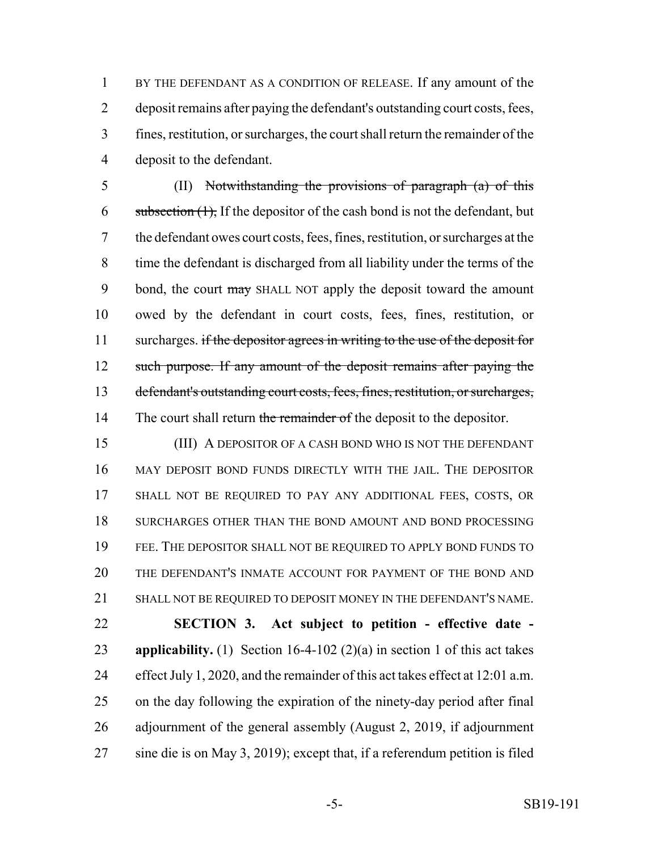BY THE DEFENDANT AS A CONDITION OF RELEASE. If any amount of the deposit remains after paying the defendant's outstanding court costs, fees, fines, restitution, or surcharges, the court shall return the remainder of the deposit to the defendant.

 (II) Notwithstanding the provisions of paragraph (a) of this 6 subsection  $(1)$ , If the depositor of the cash bond is not the defendant, but the defendant owes court costs, fees, fines, restitution, or surcharges at the time the defendant is discharged from all liability under the terms of the 9 bond, the court may SHALL NOT apply the deposit toward the amount owed by the defendant in court costs, fees, fines, restitution, or 11 surcharges. if the depositor agrees in writing to the use of the deposit for 12 such purpose. If any amount of the deposit remains after paying the defendant's outstanding court costs, fees, fines, restitution, or surcharges, 14 The court shall return the remainder of the deposit to the depositor.

 (III) A DEPOSITOR OF A CASH BOND WHO IS NOT THE DEFENDANT MAY DEPOSIT BOND FUNDS DIRECTLY WITH THE JAIL. THE DEPOSITOR SHALL NOT BE REQUIRED TO PAY ANY ADDITIONAL FEES, COSTS, OR 18 SURCHARGES OTHER THAN THE BOND AMOUNT AND BOND PROCESSING FEE. THE DEPOSITOR SHALL NOT BE REQUIRED TO APPLY BOND FUNDS TO THE DEFENDANT'S INMATE ACCOUNT FOR PAYMENT OF THE BOND AND SHALL NOT BE REQUIRED TO DEPOSIT MONEY IN THE DEFENDANT'S NAME.

 **SECTION 3. Act subject to petition - effective date - applicability.** (1) Section 16-4-102 (2)(a) in section 1 of this act takes effect July 1, 2020, and the remainder of this act takes effect at 12:01 a.m. on the day following the expiration of the ninety-day period after final adjournment of the general assembly (August 2, 2019, if adjournment sine die is on May 3, 2019); except that, if a referendum petition is filed